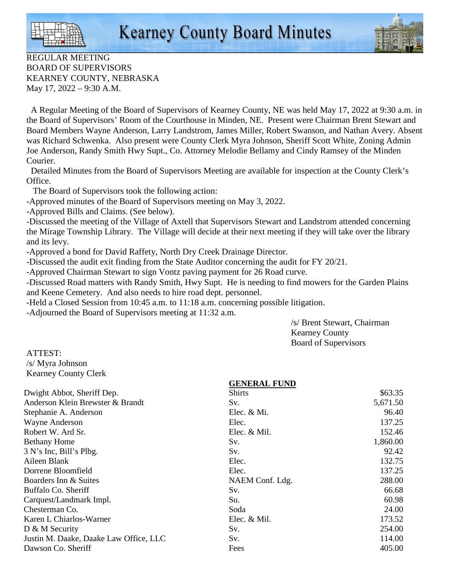

REGULAR MEETING BOARD OF SUPERVISORS KEARNEY COUNTY, NEBRASKA May 17, 2022 – 9:30 A.M.

 A Regular Meeting of the Board of Supervisors of Kearney County, NE was held May 17, 2022 at 9:30 a.m. in the Board of Supervisors' Room of the Courthouse in Minden, NE. Present were Chairman Brent Stewart and Board Members Wayne Anderson, Larry Landstrom, James Miller, Robert Swanson, and Nathan Avery. Absent was Richard Schwenka. Also present were County Clerk Myra Johnson, Sheriff Scott White, Zoning Admin Joe Anderson, Randy Smith Hwy Supt., Co. Attorney Melodie Bellamy and Cindy Ramsey of the Minden Courier.

 Detailed Minutes from the Board of Supervisors Meeting are available for inspection at the County Clerk's Office.

The Board of Supervisors took the following action:

-Approved minutes of the Board of Supervisors meeting on May 3, 2022.

-Approved Bills and Claims. (See below).

-Discussed the meeting of the Village of Axtell that Supervisors Stewart and Landstrom attended concerning the Mirage Township Library. The Village will decide at their next meeting if they will take over the library and its levy.

-Approved a bond for David Raffety, North Dry Creek Drainage Director.

-Discussed the audit exit finding from the State Auditor concerning the audit for FY 20/21.

-Approved Chairman Stewart to sign Vontz paving payment for 26 Road curve.

-Discussed Road matters with Randy Smith, Hwy Supt. He is needing to find mowers for the Garden Plains and Keene Cemetery. And also needs to hire road dept. personnel.

-Held a Closed Session from 10:45 a.m. to 11:18 a.m. concerning possible litigation.

-Adjourned the Board of Supervisors meeting at 11:32 a.m.

 /s/ Brent Stewart, Chairman Kearney County Board of Supervisors

ATTEST: /s/ Myra Johnson Kearney County Clerk

| <b>Shirts</b>   | \$63.35             |
|-----------------|---------------------|
| Sv.             | 5,671.50            |
| Elec. $& Mi.$   | 96.40               |
| Elec.           | 137.25              |
| Elec. & Mil.    | 152.46              |
| Sv.             | 1,860.00            |
| Sv.             | 92.42               |
| Elec.           | 132.75              |
| Elec.           | 137.25              |
| NAEM Conf. Ldg. | 288.00              |
| Sv.             | 66.68               |
| Su.             | 60.98               |
| Soda            | 24.00               |
| Elec. & Mil.    | 173.52              |
| Sv.             | 254.00              |
| Sv.             | 114.00              |
| Fees            | 405.00              |
|                 | <b>GENERAL FUND</b> |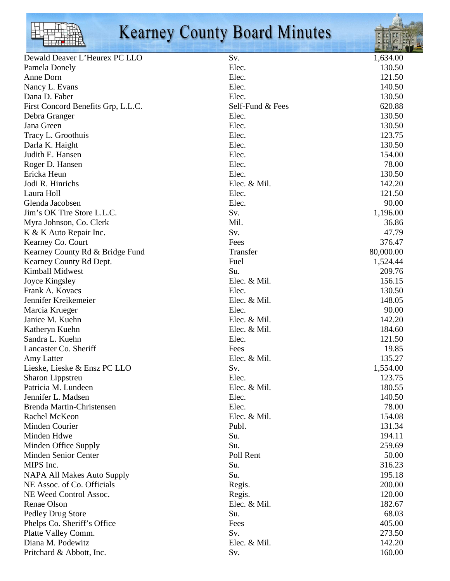

# Kearney County Board Minutes



|                                    |                  | <b>Contract of the Contract of the Contract of the Contract of the Contract of the Contract of the Contract of the Contract of the Contract of the Contract of the Contract of the Contract of the Contract of the Contract of t</b> |
|------------------------------------|------------------|--------------------------------------------------------------------------------------------------------------------------------------------------------------------------------------------------------------------------------------|
| Dewald Deaver L'Heurex PC LLO      | Sv.              | 1,634.00                                                                                                                                                                                                                             |
| Pamela Donely                      | Elec.            | 130.50                                                                                                                                                                                                                               |
| Anne Dorn                          | Elec.            | 121.50                                                                                                                                                                                                                               |
| Nancy L. Evans                     | Elec.            | 140.50                                                                                                                                                                                                                               |
| Dana D. Faber                      | Elec.            | 130.50                                                                                                                                                                                                                               |
| First Concord Benefits Grp, L.L.C. | Self-Fund & Fees | 620.88                                                                                                                                                                                                                               |
| Debra Granger                      | Elec.            | 130.50                                                                                                                                                                                                                               |
| Jana Green                         | Elec.            | 130.50                                                                                                                                                                                                                               |
| Tracy L. Groothuis                 | Elec.            | 123.75                                                                                                                                                                                                                               |
| Darla K. Haight                    | Elec.            | 130.50                                                                                                                                                                                                                               |
| Judith E. Hansen                   | Elec.            | 154.00                                                                                                                                                                                                                               |
| Roger D. Hansen                    | Elec.            | 78.00                                                                                                                                                                                                                                |
| Ericka Heun                        | Elec.            | 130.50                                                                                                                                                                                                                               |
| Jodi R. Hinrichs                   | Elec. & Mil.     | 142.20                                                                                                                                                                                                                               |
| Laura Holl                         | Elec.            | 121.50                                                                                                                                                                                                                               |
| Glenda Jacobsen                    | Elec.            | 90.00                                                                                                                                                                                                                                |
| Jim's OK Tire Store L.L.C.         | Sv.              | 1,196.00                                                                                                                                                                                                                             |
| Myra Johnson, Co. Clerk            | Mil.             | 36.86                                                                                                                                                                                                                                |
| K & K Auto Repair Inc.             | Sv.              | 47.79                                                                                                                                                                                                                                |
| Kearney Co. Court                  | Fees             | 376.47                                                                                                                                                                                                                               |
| Kearney County Rd & Bridge Fund    | Transfer         | 80,000.00                                                                                                                                                                                                                            |
| Kearney County Rd Dept.            | Fuel             | 1,524.44                                                                                                                                                                                                                             |
| Kimball Midwest                    | Su.              | 209.76                                                                                                                                                                                                                               |
| Joyce Kingsley                     | Elec. & Mil.     | 156.15                                                                                                                                                                                                                               |
| Frank A. Kovacs                    | Elec.            | 130.50                                                                                                                                                                                                                               |
| Jennifer Kreikemeier               | Elec. & Mil.     | 148.05                                                                                                                                                                                                                               |
| Marcia Krueger                     | Elec.            | 90.00                                                                                                                                                                                                                                |
| Janice M. Kuehn                    | Elec. & Mil.     | 142.20                                                                                                                                                                                                                               |
| Katheryn Kuehn                     | Elec. & Mil.     | 184.60                                                                                                                                                                                                                               |
| Sandra L. Kuehn                    | Elec.            | 121.50                                                                                                                                                                                                                               |
| Lancaster Co. Sheriff              | Fees             | 19.85                                                                                                                                                                                                                                |
| Amy Latter                         | Elec. & Mil.     | 135.27                                                                                                                                                                                                                               |
| Lieske, Lieske & Ensz PC LLO       | Sv.              | 1,554.00                                                                                                                                                                                                                             |
| Sharon Lippstreu                   | Elec.            | 123.75                                                                                                                                                                                                                               |
| Patricia M. Lundeen                | Elec. & Mil.     | 180.55                                                                                                                                                                                                                               |
| Jennifer L. Madsen                 | Elec.            | 140.50                                                                                                                                                                                                                               |
| Brenda Martin-Christensen          | Elec.            | 78.00                                                                                                                                                                                                                                |
| Rachel McKeon                      | Elec. & Mil.     | 154.08                                                                                                                                                                                                                               |
| Minden Courier                     | Publ.            | 131.34                                                                                                                                                                                                                               |
| Minden Hdwe                        | Su.              | 194.11                                                                                                                                                                                                                               |
| Minden Office Supply               | Su.              | 259.69                                                                                                                                                                                                                               |
| Minden Senior Center               | Poll Rent        | 50.00                                                                                                                                                                                                                                |
| MIPS Inc.                          | Su.              | 316.23                                                                                                                                                                                                                               |
| <b>NAPA All Makes Auto Supply</b>  | Su.              | 195.18                                                                                                                                                                                                                               |
| NE Assoc. of Co. Officials         | Regis.           | 200.00                                                                                                                                                                                                                               |
| NE Weed Control Assoc.             | Regis.           | 120.00                                                                                                                                                                                                                               |
| Renae Olson                        | Elec. & Mil.     | 182.67                                                                                                                                                                                                                               |
| Pedley Drug Store                  | Su.              | 68.03                                                                                                                                                                                                                                |
| Phelps Co. Sheriff's Office        | Fees             | 405.00                                                                                                                                                                                                                               |
| Platte Valley Comm.                | Sv.              | 273.50                                                                                                                                                                                                                               |
| Diana M. Podewitz                  | Elec. & Mil.     | 142.20                                                                                                                                                                                                                               |
| Pritchard & Abbott, Inc.           | Sv.              | 160.00                                                                                                                                                                                                                               |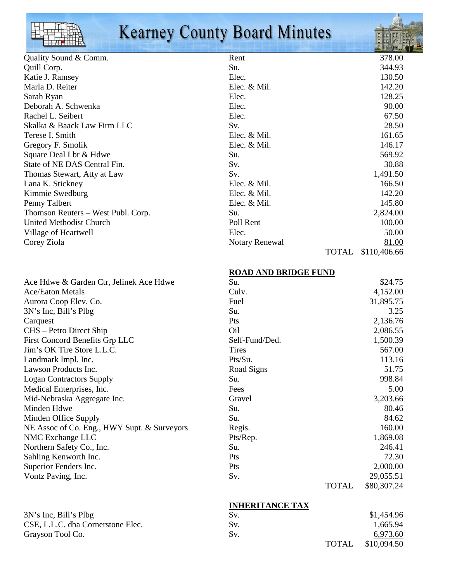|                       | <b>Kearney County Board Minutes</b> | Æ.     |
|-----------------------|-------------------------------------|--------|
| Quality Sound & Comm. | Rent                                | 378.00 |
| Quill Corp.           | Su.                                 | 344.93 |
| Katie J. Ramsey       | Elec.                               | 130.50 |
| Marla D. Reiter       | Elec. & Mil.                        | 142.20 |
| Sarah Ryan            | Elec.                               | 128.25 |
| Deborah A. Schwenka   | Elec.                               | 90.00  |
| Rachel L. Seibert     | Elec.                               | 67.50  |

| IXAVIIVI L. DUIVUU                 |
|------------------------------------|
| Skalka & Baack Law Firm LLC        |
| Terese I. Smith                    |
| Gregory F. Smolik                  |
| Square Deal Lbr & Hdwe             |
| State of NE DAS Central Fin.       |
| Thomas Stewart, Atty at Law        |
| Lana K. Stickney                   |
| Kimmie Swedburg                    |
| Penny Talbert                      |
| Thomson Reuters – West Publ. Corp. |
| United Methodist Church            |
| Village of Heartwell               |
| Corey Ziola                        |
|                                    |

| Skalka & Baack Law Firm LLC        | Sv.            | 28.50                 |
|------------------------------------|----------------|-----------------------|
| Terese I. Smith                    | Elec. & Mil.   | 161.65                |
| Gregory F. Smolik                  | Elec. & Mil.   | 146.17                |
| Square Deal Lbr & Hdwe             | Su.            | 569.92                |
| State of NE DAS Central Fin.       | Sv.            | 30.88                 |
| Thomas Stewart, Atty at Law        | Sv.            | 1,491.50              |
| Lana K. Stickney                   | Elec. & Mil.   | 166.50                |
| Kimmie Swedburg                    | Elec. $&$ Mil. | 142.20                |
| Penny Talbert                      | Elec. $&$ Mil. | 145.80                |
| Thomson Reuters – West Publ. Corp. | Su.            | 2,824.00              |
| <b>United Methodist Church</b>     | Poll Rent      | 100.00                |
| Village of Heartwell               | Elec.          | 50.00                 |
| Corey Ziola                        | Notary Renewal | 81.00                 |
|                                    |                | \$110,406.66<br>TOTAL |

| Ace Hdwe & Garden Ctr, Jelinek Ace Hdwe     |
|---------------------------------------------|
| <b>Ace/Eaton Metals</b>                     |
| Aurora Coop Elev. Co.                       |
| 3N's Inc, Bill's Plbg                       |
| Carquest                                    |
| CHS – Petro Direct Ship                     |
| First Concord Benefits Grp LLC              |
| Jim's OK Tire Store L.L.C.                  |
| Landmark Impl. Inc.                         |
| Lawson Products Inc.                        |
| <b>Logan Contractors Supply</b>             |
| Medical Enterprises, Inc.                   |
| Mid-Nebraska Aggregate Inc.                 |
| Minden Hdwe                                 |
| Minden Office Supply                        |
| NE Assoc of Co. Eng., HWY Supt. & Surveyors |
| NMC Exchange LLC                            |
| Northern Safety Co., Inc.                   |
| Sahling Kenworth Inc.                       |
| Superior Fenders Inc.                       |
| Vontz Paving, Inc.                          |

## **ROAD AND BRIDGE FUND**

| Ace Hdwe & Garden Ctr, Jelinek Ace Hdwe     | Su.             |              | \$24.75     |
|---------------------------------------------|-----------------|--------------|-------------|
| <b>Ace/Eaton Metals</b>                     | Culv.           |              | 4,152.00    |
| Aurora Coop Elev. Co.                       | Fuel            |              | 31,895.75   |
| 3N's Inc, Bill's Plbg                       | Su.             |              | 3.25        |
| Carquest                                    | <b>Pts</b>      |              | 2,136.76    |
| CHS – Petro Direct Ship                     | O <sub>il</sub> |              | 2,086.55    |
| <b>First Concord Benefits Grp LLC</b>       | Self-Fund/Ded.  |              | 1,500.39    |
| Jim's OK Tire Store L.L.C.                  | <b>Tires</b>    |              | 567.00      |
| Landmark Impl. Inc.                         | Pts/Su.         |              | 113.16      |
| Lawson Products Inc.                        | Road Signs      |              | 51.75       |
| <b>Logan Contractors Supply</b>             | Su.             |              | 998.84      |
| Medical Enterprises, Inc.                   | Fees            |              | 5.00        |
| Mid-Nebraska Aggregate Inc.                 | Gravel          |              | 3,203.66    |
| Minden Hdwe                                 | Su.             |              | 80.46       |
| Minden Office Supply                        | Su.             |              | 84.62       |
| NE Assoc of Co. Eng., HWY Supt. & Surveyors | Regis.          |              | 160.00      |
| NMC Exchange LLC                            | Pts/Rep.        |              | 1,869.08    |
| Northern Safety Co., Inc.                   | Su.             |              | 246.41      |
| Sahling Kenworth Inc.                       | <b>Pts</b>      |              | 72.30       |
| Superior Fenders Inc.                       | <b>Pts</b>      |              | 2,000.00    |
| Vontz Paving, Inc.                          | Sv.             |              | 29,055.51   |
|                                             |                 | <b>TOTAL</b> | \$80,307.24 |

#### **INHERITANCE TAX**<br>Sv.  $3N's Inc, Bill's Plbg$   $$1,454.96$ CSE, L.L.C. dba Cornerstone Elec. Sv. 5v. 1,665.94<br>
Grayson Tool Co. 6973.60 Grayson Tool Co. Sv. 6.973.600 Sv. TOTAL \$10,094.50